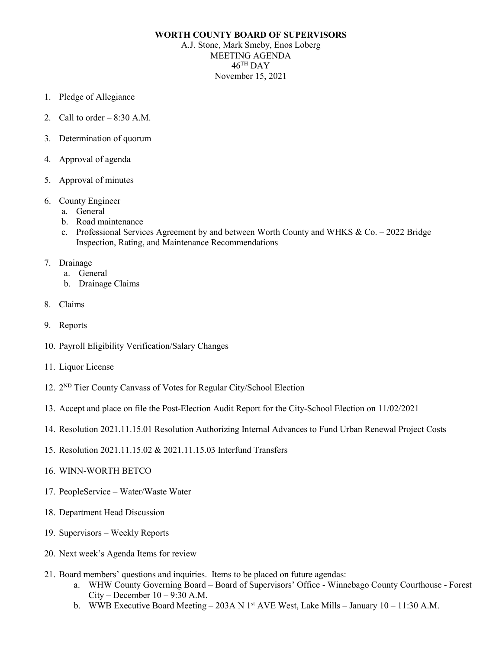## **WORTH COUNTY BOARD OF SUPERVISORS**

A.J. Stone, Mark Smeby, Enos Loberg MEETING AGENDA  $46$ <sup>TH</sup> DAY November 15, 2021

- 1. Pledge of Allegiance
- 2. Call to order  $-8:30$  A.M.
- 3. Determination of quorum
- 4. Approval of agenda
- 5. Approval of minutes
- 6. County Engineer
	- a. General
	- b. Road maintenance
	- c. Professional Services Agreement by and between Worth County and WHKS & Co.  $-2022$  Bridge Inspection, Rating, and Maintenance Recommendations
- 7. Drainage
	- a. General
	- b. Drainage Claims
- 8. Claims
- 9. Reports
- 10. Payroll Eligibility Verification/Salary Changes
- 11. Liquor License
- 12. 2ND Tier County Canvass of Votes for Regular City/School Election
- 13. Accept and place on file the Post-Election Audit Report for the City-School Election on 11/02/2021
- 14. Resolution 2021.11.15.01 Resolution Authorizing Internal Advances to Fund Urban Renewal Project Costs
- 15. Resolution 2021.11.15.02 & 2021.11.15.03 Interfund Transfers
- 16. WINN-WORTH BETCO
- 17. PeopleService Water/Waste Water
- 18. Department Head Discussion
- 19. Supervisors Weekly Reports
- 20. Next week's Agenda Items for review
- 21. Board members' questions and inquiries. Items to be placed on future agendas:
	- a. WHW County Governing Board Board of Supervisors' Office Winnebago County Courthouse Forest  $City - December 10 - 9:30 A.M.$
	- b. WWB Executive Board Meeting 203A N 1<sup>st</sup> AVE West, Lake Mills January 10 11:30 A.M.